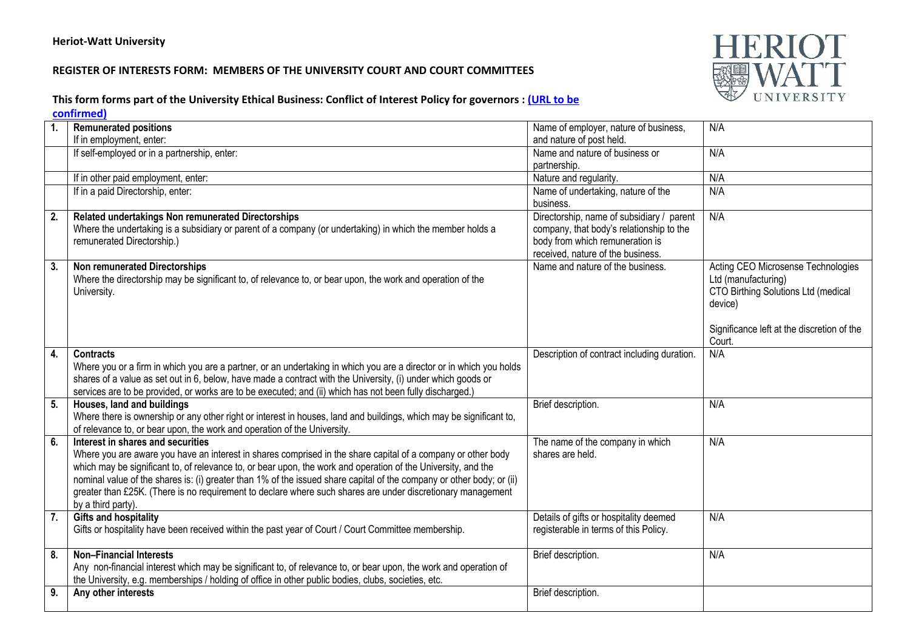## **REGISTER OF INTERESTS FORM: MEMBERS OF THE UNIVERSITY COURT AND COURT COMMITTEES**



## **This form forms part of the University Ethical Business: Conflict of Interest Policy for governors : (URL to be**

**confirmed)**

|                  | <b>Remunerated positions</b>                                                                                          | Name of employer, nature of business,                                 | N/A                                        |
|------------------|-----------------------------------------------------------------------------------------------------------------------|-----------------------------------------------------------------------|--------------------------------------------|
|                  | If in employment, enter:                                                                                              | and nature of post held.                                              |                                            |
|                  | If self-employed or in a partnership, enter:                                                                          | Name and nature of business or                                        | N/A                                        |
|                  |                                                                                                                       | partnership.                                                          |                                            |
|                  | If in other paid employment, enter:                                                                                   | Nature and regularity.                                                | N/A                                        |
|                  | If in a paid Directorship, enter:                                                                                     | Name of undertaking, nature of the                                    | N/A                                        |
|                  |                                                                                                                       | business.                                                             |                                            |
| 2.               | Related undertakings Non remunerated Directorships                                                                    | Directorship, name of subsidiary / parent                             | N/A                                        |
|                  | Where the undertaking is a subsidiary or parent of a company (or undertaking) in which the member holds a             | company, that body's relationship to the                              |                                            |
|                  | remunerated Directorship.)                                                                                            | body from which remuneration is                                       |                                            |
| 3.               | <b>Non remunerated Directorships</b>                                                                                  | received, nature of the business.<br>Name and nature of the business. | Acting CEO Microsense Technologies         |
|                  | Where the directorship may be significant to, of relevance to, or bear upon, the work and operation of the            |                                                                       | Ltd (manufacturing)                        |
|                  | University.                                                                                                           |                                                                       | CTO Birthing Solutions Ltd (medical        |
|                  |                                                                                                                       |                                                                       | device)                                    |
|                  |                                                                                                                       |                                                                       |                                            |
|                  |                                                                                                                       |                                                                       | Significance left at the discretion of the |
|                  |                                                                                                                       |                                                                       | Court.                                     |
| 4.               | <b>Contracts</b>                                                                                                      | Description of contract including duration.                           | N/A                                        |
|                  | Where you or a firm in which you are a partner, or an undertaking in which you are a director or in which you holds   |                                                                       |                                            |
|                  | shares of a value as set out in 6, below, have made a contract with the University, (i) under which goods or          |                                                                       |                                            |
|                  | services are to be provided, or works are to be executed; and (ii) which has not been fully discharged.)              |                                                                       |                                            |
| 5.               | Houses, land and buildings                                                                                            | Brief description.                                                    | N/A                                        |
|                  | Where there is ownership or any other right or interest in houses, land and buildings, which may be significant to,   |                                                                       |                                            |
| 6.               | of relevance to, or bear upon, the work and operation of the University.<br>Interest in shares and securities         |                                                                       | N/A                                        |
|                  | Where you are aware you have an interest in shares comprised in the share capital of a company or other body          | The name of the company in which<br>shares are held.                  |                                            |
|                  | which may be significant to, of relevance to, or bear upon, the work and operation of the University, and the         |                                                                       |                                            |
|                  | nominal value of the shares is: (i) greater than 1% of the issued share capital of the company or other body; or (ii) |                                                                       |                                            |
|                  | greater than £25K. (There is no requirement to declare where such shares are under discretionary management           |                                                                       |                                            |
|                  | by a third party).                                                                                                    |                                                                       |                                            |
| $\overline{7}$ . | <b>Gifts and hospitality</b>                                                                                          | Details of gifts or hospitality deemed                                | N/A                                        |
|                  | Gifts or hospitality have been received within the past year of Court / Court Committee membership.                   | registerable in terms of this Policy.                                 |                                            |
|                  |                                                                                                                       |                                                                       |                                            |
| 8.               | <b>Non-Financial Interests</b>                                                                                        | Brief description.                                                    | N/A                                        |
|                  | Any non-financial interest which may be significant to, of relevance to, or bear upon, the work and operation of      |                                                                       |                                            |
|                  | the University, e.g. memberships / holding of office in other public bodies, clubs, societies, etc.                   |                                                                       |                                            |
| 9.               | Any other interests                                                                                                   | Brief description.                                                    |                                            |
|                  |                                                                                                                       |                                                                       |                                            |